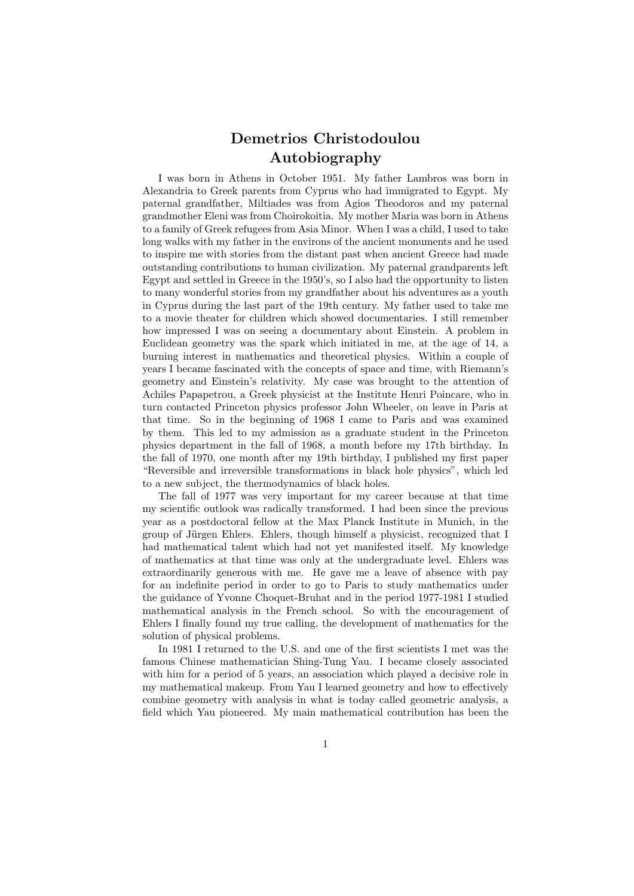## Demetrios Christodoulou Autobiography

I was born in Athens in October 1951. My father Lambros was born in Alexandria to Greek parents from Cyprus who had immigrated to Egypt. My paternal grandfather, Miltiades was from Agios Theodoros and my paternal grandmother Eleni was from Choirokoitia. My mother Maria was born in Athens to a family of Greek refugees from Asia Minor. When I was a child, I used to take long walks with my father in the environs of the ancient monuments and he used to inspire me with stories from the distant past when ancient Greece had made outstanding contributions to human civilization. My paternal grandparents left Egypt and settled in Greece in the 1950's, so I also had the opportunity to listen to many wonderful stories from my grandfather about his adventures as a youth in Cyprus during the last part of the 19th century. My father used to take me to a movie theater for children which showed documentaries. I still remember how impressed I was on seeing a documentary about Einstein. A problem in Euclidean geometry was the spark which initiated in me, at the age of 14, a burning interest in mathematics and theoretical physics. Within a couple of years I became fascinated with the concepts of space and time, with Riemann's geometry and Einstein's relativity. My case was brought to the attention of Achiles Papapetrou, a Greek physicist at the Institute Henri Poincare, who in turn contacted Princeton physics professor John Wheeler, on leave in Paris at that time. So in the beginning of 1968 I came to Paris and was examined by them. This led to my admission as a graduate student in the Princeton physics department in the fall of 1968, a month before my 17th birthday. In the fall of 1970, one month after my 19th birthday, I published my first paper "Reversible and irreversible transformations in black hole physics", which led to a new subject, the thermodynamics of black holes.

The fall of 1977 was very important for my career because at that time my scientific outlook was radically transformed. I had been since the previous year as a postdoctoral fellow at the Max Planck Institute in Munich, in the group of Jürgen Ehlers. Ehlers, though himself a physicist, recognized that I had mathematical talent which had not yet manifested itself. My knowledge of mathematics at that time was only at the undergraduate level. Ehlers was extraordinarily generous with me. He gave me a leave of absence with pay for an indefinite period in order to go to Paris to study mathematics under the guidance of Yvonne Choquet-Bruhat and in the period 1977-1981 I studied mathematical analysis in the French school. So with the encouragement of Ehlers I finally found my true calling, the development of mathematics for the solution of physical problems.

In 1981 I returned to the U.S. and one of the first scientists I met was the famous Chinese mathematician Shing-Tung Yau. I became closely associated with him for a period of 5 years, an association which played a decisive role in my mathematical makeup. From Yau I learned geometry and how to effectively combine geometry with analysis in what is today called geometric analysis, a field which Yau pioneered. My main mathematical contribution has been the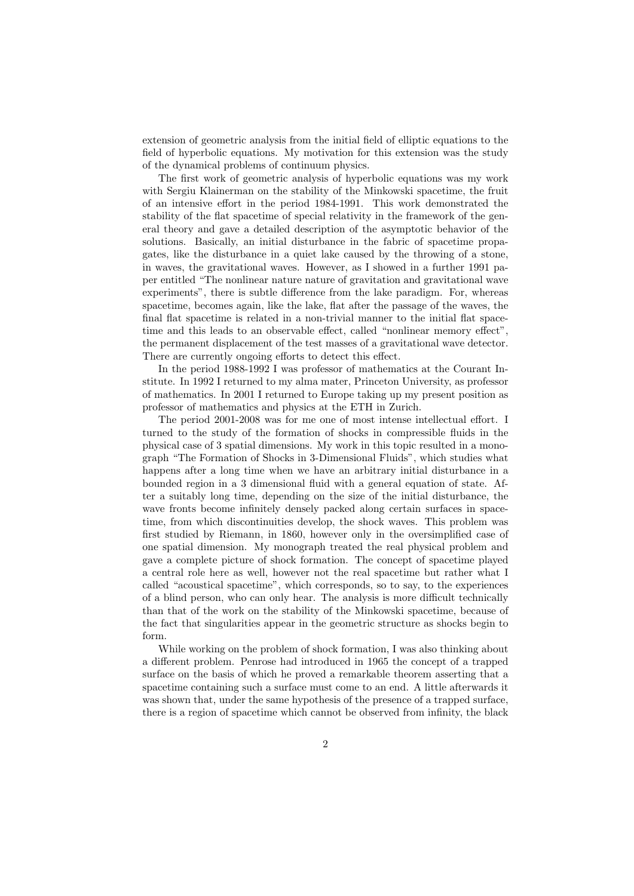extension of geometric analysis from the initial field of elliptic equations to the field of hyperbolic equations. My motivation for this extension was the study of the dynamical problems of continuum physics.

The first work of geometric analysis of hyperbolic equations was my work with Sergiu Klainerman on the stability of the Minkowski spacetime, the fruit of an intensive effort in the period 1984-1991. This work demonstrated the stability of the flat spacetime of special relativity in the framework of the general theory and gave a detailed description of the asymptotic behavior of the solutions. Basically, an initial disturbance in the fabric of spacetime propagates, like the disturbance in a quiet lake caused by the throwing of a stone, in waves, the gravitational waves. However, as I showed in a further 1991 paper entitled "The nonlinear nature nature of gravitation and gravitational wave experiments", there is subtle difference from the lake paradigm. For, whereas spacetime, becomes again, like the lake, flat after the passage of the waves, the final flat spacetime is related in a non-trivial manner to the initial flat spacetime and this leads to an observable effect, called "nonlinear memory effect", the permanent displacement of the test masses of a gravitational wave detector. There are currently ongoing efforts to detect this effect.

In the period 1988-1992 I was professor of mathematics at the Courant Institute. In 1992 I returned to my alma mater, Princeton University, as professor of mathematics. In 2001 I returned to Europe taking up my present position as professor of mathematics and physics at the ETH in Zurich.

The period 2001-2008 was for me one of most intense intellectual effort. I turned to the study of the formation of shocks in compressible fluids in the physical case of 3 spatial dimensions. My work in this topic resulted in a monograph "The Formation of Shocks in 3-Dimensional Fluids", which studies what happens after a long time when we have an arbitrary initial disturbance in a bounded region in a 3 dimensional fluid with a general equation of state. After a suitably long time, depending on the size of the initial disturbance, the wave fronts become infinitely densely packed along certain surfaces in spacetime, from which discontinuities develop, the shock waves. This problem was first studied by Riemann, in 1860, however only in the oversimplified case of one spatial dimension. My monograph treated the real physical problem and gave a complete picture of shock formation. The concept of spacetime played a central role here as well, however not the real spacetime but rather what I called "acoustical spacetime", which corresponds, so to say, to the experiences of a blind person, who can only hear. The analysis is more difficult technically than that of the work on the stability of the Minkowski spacetime, because of the fact that singularities appear in the geometric structure as shocks begin to form.

While working on the problem of shock formation, I was also thinking about a different problem. Penrose had introduced in 1965 the concept of a trapped surface on the basis of which he proved a remarkable theorem asserting that a spacetime containing such a surface must come to an end. A little afterwards it was shown that, under the same hypothesis of the presence of a trapped surface, there is a region of spacetime which cannot be observed from infinity, the black